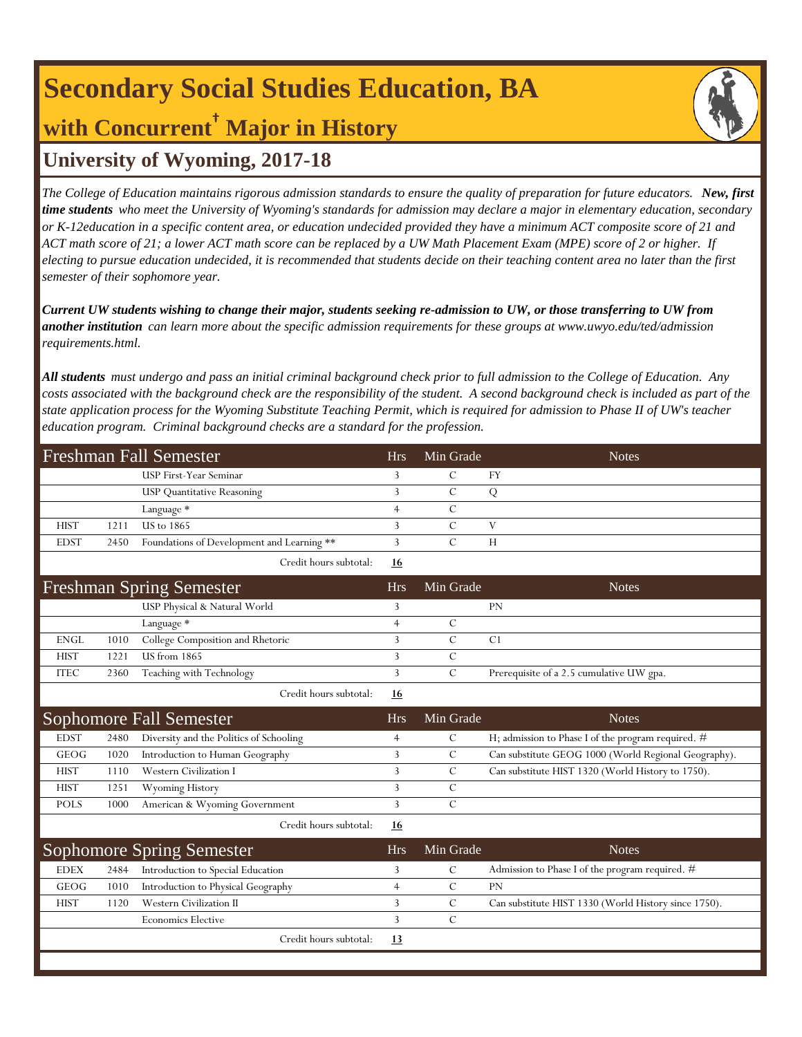# **Secondary Social Studies Education, BA with Concurrent† Major in History**

### **University of Wyoming, 2017-18**

*The College of Education maintains rigorous admission standards to ensure the quality of preparation for future educators. New, first time students who meet the University of Wyoming's standards for admission may declare a major in elementary education, secondary or K-12education in a specific content area, or education undecided provided they have a minimum ACT composite score of 21 and ACT math score of 21; a lower ACT math score can be replaced by a UW Math Placement Exam (MPE) score of 2 or higher. If electing to pursue education undecided, it is recommended that students decide on their teaching content area no later than the first semester of their sophomore year.*

*Current UW students wishing to change their major, students seeking re-admission to UW, or those transferring to UW from another institution can learn more about the specific admission requirements for these groups at www.uwyo.edu/ted/admission requirements.html.* 

*All students must undergo and pass an initial criminal background check prior to full admission to the College of Education. Any costs associated with the background check are the responsibility of the student. A second background check is included as part of the state application process for the Wyoming Substitute Teaching Permit, which is required for admission to Phase II of UW's teacher education program. Criminal background checks are a standard for the profession.*

| <b>Freshman Fall Semester</b> |      |                                            |                | Min Grade     | <b>Notes</b>                                         |
|-------------------------------|------|--------------------------------------------|----------------|---------------|------------------------------------------------------|
|                               |      | USP First-Year Seminar                     | 3              | $\mathcal{C}$ | FY                                                   |
|                               |      | <b>USP Quantitative Reasoning</b>          | 3              | $\mathcal{C}$ | ${\bf Q}$                                            |
|                               |      | Language *                                 | $\overline{4}$ | $\mathcal{C}$ |                                                      |
| <b>HIST</b>                   | 1211 | <b>US</b> to 1865                          | 3              | $\mathcal{C}$ | V                                                    |
| <b>EDST</b>                   | 2450 | Foundations of Development and Learning ** | 3              | $\mathcal{C}$ | H                                                    |
|                               |      | Credit hours subtotal:                     | <u>16</u>      |               |                                                      |
|                               |      | <b>Freshman Spring Semester</b>            | <b>Hrs</b>     | Min Grade     | <b>Notes</b>                                         |
|                               |      | USP Physical & Natural World               | 3              |               | PN                                                   |
|                               |      | Language *                                 | $\overline{4}$ | $\mathcal{C}$ |                                                      |
| <b>ENGL</b>                   | 1010 | College Composition and Rhetoric           | 3              | $\mathcal{C}$ | C1                                                   |
| <b>HIST</b>                   | 1221 | <b>US</b> from 1865                        | 3              | $\mathcal{C}$ |                                                      |
| <b>ITEC</b>                   | 2360 | Teaching with Technology                   | 3              | $\mathcal{C}$ | Prerequisite of a 2.5 cumulative UW gpa.             |
|                               |      | Credit hours subtotal:                     | 16             |               |                                                      |
|                               |      | <b>Sophomore Fall Semester</b>             | <b>Hrs</b>     | Min Grade     | <b>Notes</b>                                         |
| <b>EDST</b>                   | 2480 | Diversity and the Politics of Schooling    | $\overline{4}$ | $\mathbf C$   | H; admission to Phase I of the program required. #   |
|                               |      |                                            |                |               |                                                      |
| <b>GEOG</b>                   | 1020 | Introduction to Human Geography            | 3              | $\mathcal{C}$ | Can substitute GEOG 1000 (World Regional Geography). |
| <b>HIST</b>                   | 1110 | Western Civilization I                     | 3              | $\mathcal{C}$ | Can substitute HIST 1320 (World History to 1750).    |
| <b>HIST</b>                   | 1251 | Wyoming History                            | 3              | $\mathcal{C}$ |                                                      |
| <b>POLS</b>                   | 1000 | American & Wyoming Government              | 3              | $\mathcal{C}$ |                                                      |
|                               |      | Credit hours subtotal:                     | 16             |               |                                                      |
|                               |      | <b>Sophomore Spring Semester</b>           | <b>Hrs</b>     | Min Grade     | <b>Notes</b>                                         |
| <b>EDEX</b>                   | 2484 | Introduction to Special Education          | 3              | $\mathcal{C}$ | Admission to Phase I of the program required. #      |
| GEOG                          | 1010 | Introduction to Physical Geography         | $\overline{4}$ | $\mathcal{C}$ | PN                                                   |
| <b>HIST</b>                   | 1120 | Western Civilization II                    | 3              | $\mathcal{C}$ | Can substitute HIST 1330 (World History since 1750). |
|                               |      | <b>Economics Elective</b>                  | 3              | $\mathcal{C}$ |                                                      |
|                               |      | Credit hours subtotal:                     | 13             |               |                                                      |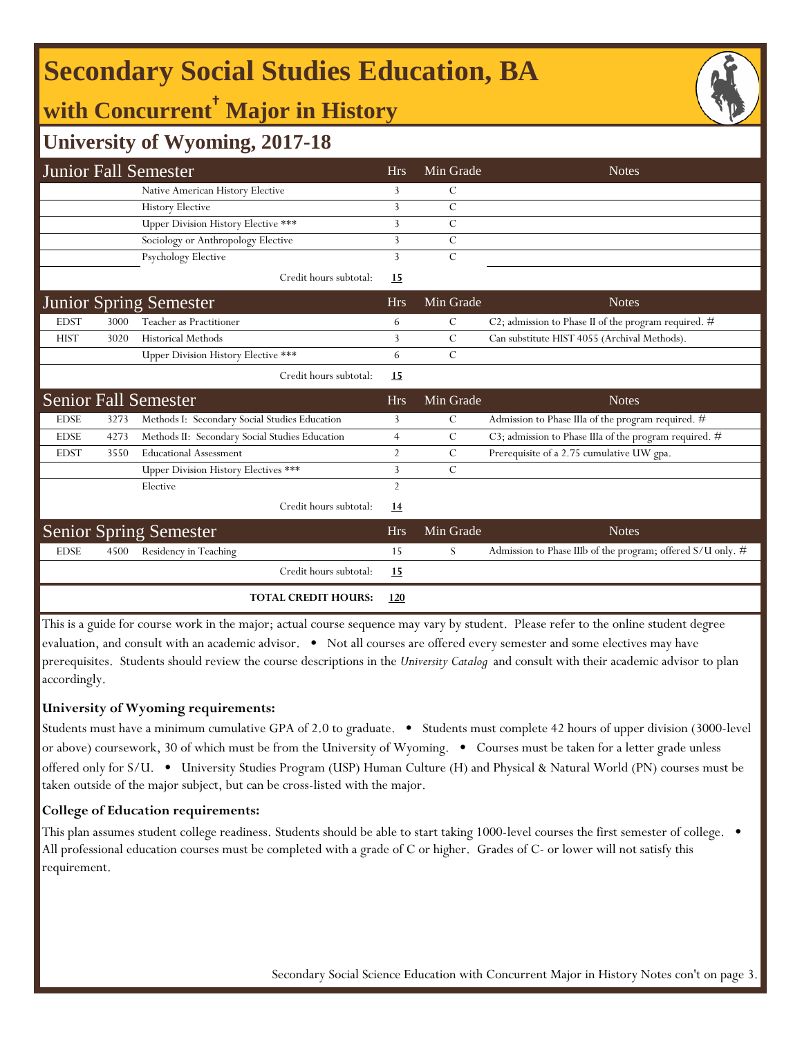# **Secondary Social Studies Education, BA**

## **with Concurrent† Major in History**



| <b>Junior Fall Semester</b>                                                                                                         |      |                                                |                | Min Grade     | <b>Notes</b>                                                |  |  |  |
|-------------------------------------------------------------------------------------------------------------------------------------|------|------------------------------------------------|----------------|---------------|-------------------------------------------------------------|--|--|--|
|                                                                                                                                     |      | Native American History Elective               | 3              | C             |                                                             |  |  |  |
|                                                                                                                                     |      | <b>History Elective</b>                        | 3              | $\mathcal{C}$ |                                                             |  |  |  |
|                                                                                                                                     |      | Upper Division History Elective ***            | 3              | C             |                                                             |  |  |  |
|                                                                                                                                     |      | Sociology or Anthropology Elective             | 3              | $\mathcal{C}$ |                                                             |  |  |  |
|                                                                                                                                     |      | Psychology Elective                            | 3              | $\mathcal{C}$ |                                                             |  |  |  |
|                                                                                                                                     |      | Credit hours subtotal:                         | 15             |               |                                                             |  |  |  |
|                                                                                                                                     |      | <b>Junior Spring Semester</b>                  | <b>Hrs</b>     | Min Grade     | <b>Notes</b>                                                |  |  |  |
| <b>EDST</b>                                                                                                                         | 3000 | Teacher as Practitioner                        | 6              | С             | C2; admission to Phase II of the program required. $#$      |  |  |  |
| <b>HIST</b>                                                                                                                         | 3020 | <b>Historical Methods</b>                      | 3              | $\mathcal{C}$ | Can substitute HIST 4055 (Archival Methods).                |  |  |  |
|                                                                                                                                     |      | Upper Division History Elective ***            | 6              | $\mathcal{C}$ |                                                             |  |  |  |
|                                                                                                                                     |      | Credit hours subtotal:                         | <b>15</b>      |               |                                                             |  |  |  |
|                                                                                                                                     |      | <b>Senior Fall Semester</b>                    | <b>Hrs</b>     | Min Grade     | <b>Notes</b>                                                |  |  |  |
| <b>EDSE</b>                                                                                                                         | 3273 | Methods I: Secondary Social Studies Education  | 3              | $\mathcal{C}$ | Admission to Phase IIIa of the program required. #          |  |  |  |
| <b>EDSE</b>                                                                                                                         | 4273 | Methods II: Secondary Social Studies Education | $\overline{4}$ | С             | C3; admission to Phase IIIa of the program required. $\#$   |  |  |  |
| <b>EDST</b>                                                                                                                         | 3550 | <b>Educational Assessment</b>                  | $\overline{2}$ | C             | Prerequisite of a 2.75 cumulative UW gpa.                   |  |  |  |
|                                                                                                                                     |      | <b>Upper Division History Electives ***</b>    | 3              | $\mathcal{C}$ |                                                             |  |  |  |
|                                                                                                                                     |      | Elective                                       | $\overline{2}$ |               |                                                             |  |  |  |
|                                                                                                                                     |      | Credit hours subtotal:                         | 14             |               |                                                             |  |  |  |
|                                                                                                                                     |      | <b>Senior Spring Semester</b>                  | <b>Hrs</b>     | Min Grade     | <b>Notes</b>                                                |  |  |  |
| <b>EDSE</b>                                                                                                                         | 4500 | Residency in Teaching                          | 15             | S             | Admission to Phase IIIb of the program; offered S/U only. # |  |  |  |
|                                                                                                                                     |      | Credit hours subtotal:                         | 15             |               |                                                             |  |  |  |
|                                                                                                                                     |      | <b>TOTAL CREDIT HOURS:</b>                     | 120            |               |                                                             |  |  |  |
| This is a guide for course work in the major; actual course sequence may vary by student. Please refer to the online student degree |      |                                                |                |               |                                                             |  |  |  |

evaluation, and consult with an academic advisor. • Not all courses are offered every semester and some electives may have prerequisites. Students should review the course descriptions in the *University Catalog* and consult with their academic advisor to plan accordingly.

#### **University of Wyoming requirements:**

Students must have a minimum cumulative GPA of 2.0 to graduate. • Students must complete 42 hours of upper division (3000-level or above) coursework, 30 of which must be from the University of Wyoming. • Courses must be taken for a letter grade unless offered only for S/U. • University Studies Program (USP) Human Culture (H) and Physical & Natural World (PN) courses must be taken outside of the major subject, but can be cross-listed with the major.

#### **College of Education requirements:**

This plan assumes student college readiness. Students should be able to start taking 1000-level courses the first semester of college.  $\bullet$ All professional education courses must be completed with a grade of C or higher. Grades of C- or lower will not satisfy this requirement.